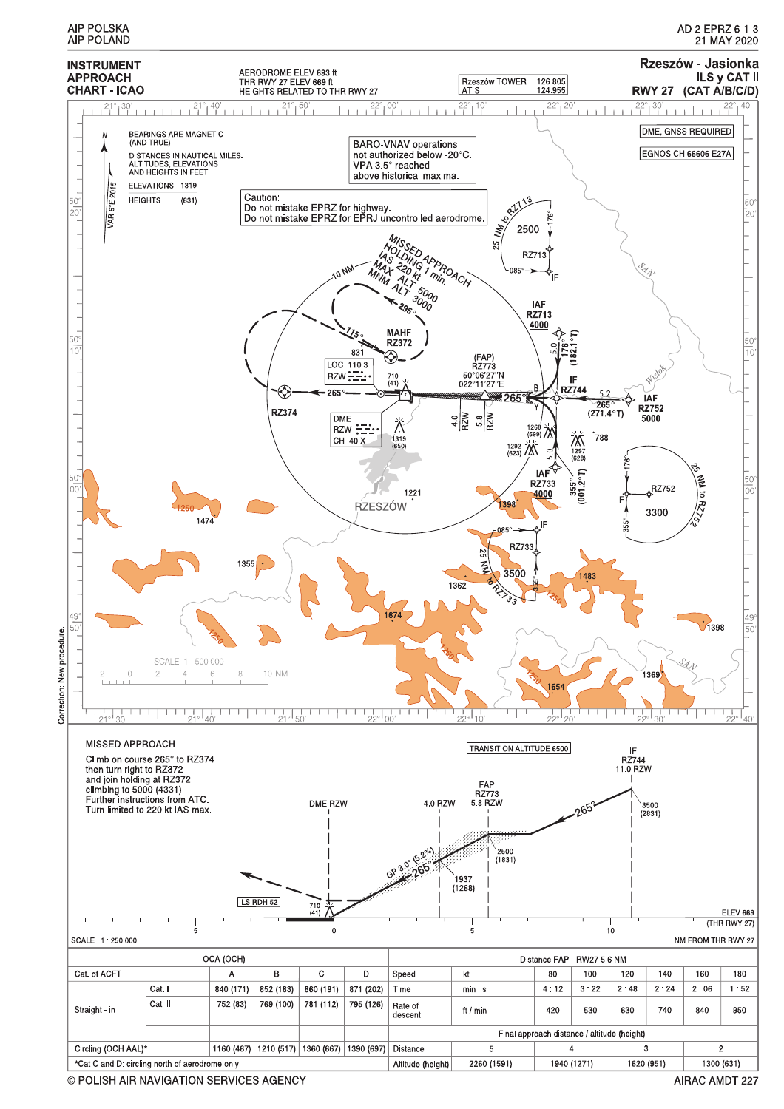

© POLISH AIR NAVIGATION SERVICES AGENCY